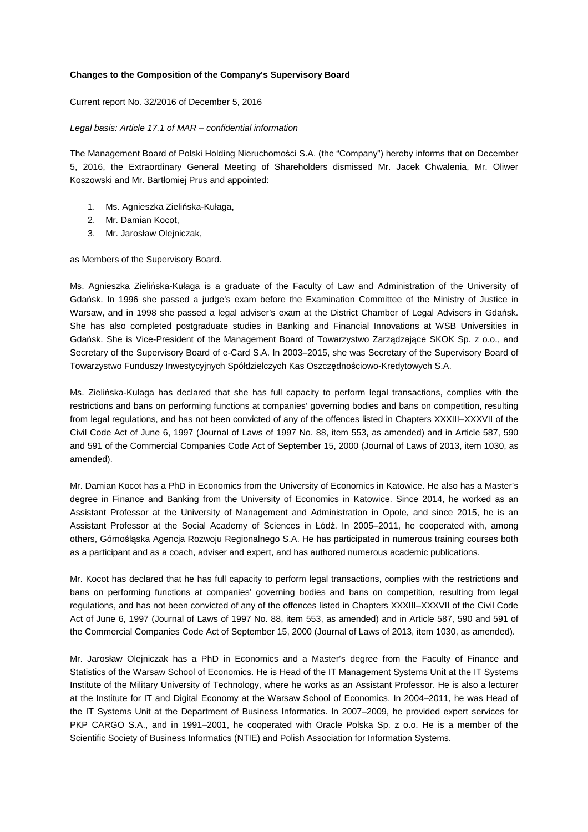## **Changes to the Composition of the Company's Supervisory Board**

Current report No. 32/2016 of December 5, 2016

## Legal basis: Article 17.1 of MAR – confidential information

The Management Board of Polski Holding Nieruchomości S.A. (the "Company") hereby informs that on December 5, 2016, the Extraordinary General Meeting of Shareholders dismissed Mr. Jacek Chwalenia, Mr. Oliwer Koszowski and Mr. Bartłomiej Prus and appointed:

- 1. Ms. Agnieszka Zielińska-Kułaga,
- 2. Mr. Damian Kocot,
- 3. Mr. Jarosław Olejniczak,

as Members of the Supervisory Board.

Ms. Agnieszka Zielińska-Kułaga is a graduate of the Faculty of Law and Administration of the University of Gdańsk. In 1996 she passed a judge's exam before the Examination Committee of the Ministry of Justice in Warsaw, and in 1998 she passed a legal adviser's exam at the District Chamber of Legal Advisers in Gdańsk. She has also completed postgraduate studies in Banking and Financial Innovations at WSB Universities in Gdańsk. She is Vice-President of the Management Board of Towarzystwo Zarządzające SKOK Sp. z o.o., and Secretary of the Supervisory Board of e-Card S.A. In 2003–2015, she was Secretary of the Supervisory Board of Towarzystwo Funduszy Inwestycyjnych Spółdzielczych Kas Oszczędnościowo-Kredytowych S.A.

Ms. Zielińska-Kułaga has declared that she has full capacity to perform legal transactions, complies with the restrictions and bans on performing functions at companies' governing bodies and bans on competition, resulting from legal regulations, and has not been convicted of any of the offences listed in Chapters XXXIII–XXXVII of the Civil Code Act of June 6, 1997 (Journal of Laws of 1997 No. 88, item 553, as amended) and in Article 587, 590 and 591 of the Commercial Companies Code Act of September 15, 2000 (Journal of Laws of 2013, item 1030, as amended).

Mr. Damian Kocot has a PhD in Economics from the University of Economics in Katowice. He also has a Master's degree in Finance and Banking from the University of Economics in Katowice. Since 2014, he worked as an Assistant Professor at the University of Management and Administration in Opole, and since 2015, he is an Assistant Professor at the Social Academy of Sciences in Łódź. In 2005–2011, he cooperated with, among others, Górnośląska Agencja Rozwoju Regionalnego S.A. He has participated in numerous training courses both as a participant and as a coach, adviser and expert, and has authored numerous academic publications.

Mr. Kocot has declared that he has full capacity to perform legal transactions, complies with the restrictions and bans on performing functions at companies' governing bodies and bans on competition, resulting from legal regulations, and has not been convicted of any of the offences listed in Chapters XXXIII–XXXVII of the Civil Code Act of June 6, 1997 (Journal of Laws of 1997 No. 88, item 553, as amended) and in Article 587, 590 and 591 of the Commercial Companies Code Act of September 15, 2000 (Journal of Laws of 2013, item 1030, as amended).

Mr. Jarosław Olejniczak has a PhD in Economics and a Master's degree from the Faculty of Finance and Statistics of the Warsaw School of Economics. He is Head of the IT Management Systems Unit at the IT Systems Institute of the Military University of Technology, where he works as an Assistant Professor. He is also a lecturer at the Institute for IT and Digital Economy at the Warsaw School of Economics. In 2004–2011, he was Head of the IT Systems Unit at the Department of Business Informatics. In 2007–2009, he provided expert services for PKP CARGO S.A., and in 1991–2001, he cooperated with Oracle Polska Sp. z o.o. He is a member of the Scientific Society of Business Informatics (NTIE) and Polish Association for Information Systems.